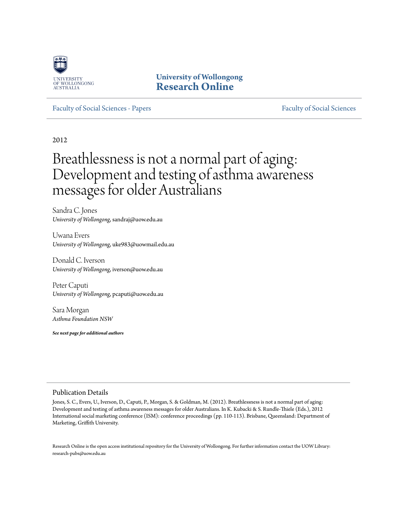

**University of Wollongong [Research Online](http://ro.uow.edu.au)**

#### [Faculty of Social Sciences - Papers](http://ro.uow.edu.au/sspapers) [Faculty of Social Sciences](http://ro.uow.edu.au/ss) - Papers Faculty of Social Sciences

2012

# Breathlessness is not a normal part of aging: Development and testing of asthma awareness messages for older Australians

Sandra C. Jones *University of Wollongong*, sandraj@uow.edu.au

Uwana Evers *University of Wollongong*, uke983@uowmail.edu.au

Donald C. Iverson *University of Wollongong*, iverson@uow.edu.au

Peter Caputi *University of Wollongong*, pcaputi@uow.edu.au

Sara Morgan *Asthma Foundation NSW*

*See next page for additional authors*

#### Publication Details

Jones, S. C., Evers, U., Iverson, D., Caputi, P., Morgan, S. & Goldman, M. (2012). Breathlessness is not a normal part of aging: Development and testing of asthma awareness messages for older Australians. In K. Kubacki & S. Rundle-Thiele (Eds.), 2012 International social marketing conference (ISM): conference proceedings (pp. 110-113). Brisbane, Queensland: Department of Marketing, Griffith University.

Research Online is the open access institutional repository for the University of Wollongong. For further information contact the UOW Library: research-pubs@uow.edu.au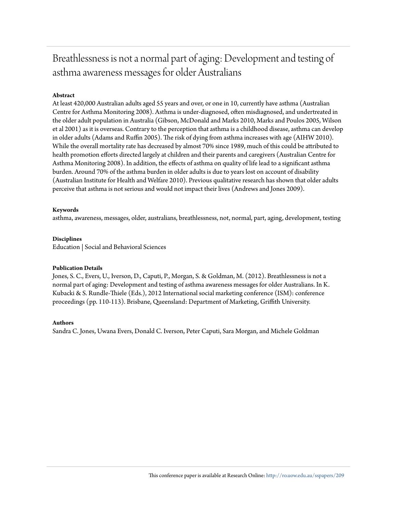## Breathlessness is not a normal part of aging: Development and testing of asthma awareness messages for older Australians

### **Abstract**

At least 420,000 Australian adults aged 55 years and over, or one in 10, currently have asthma (Australian Centre for Asthma Monitoring 2008). Asthma is under-diagnosed, often misdiagnosed, and undertreated in the older adult population in Australia (Gibson, McDonald and Marks 2010, Marks and Poulos 2005, Wilson et al 2001) as it is overseas. Contrary to the perception that asthma is a childhood disease, asthma can develop in older adults (Adams and Ruffin 2005). The risk of dying from asthma increases with age (AIHW 2010). While the overall mortality rate has decreased by almost 70% since 1989, much of this could be attributed to health promotion efforts directed largely at children and their parents and caregivers (Australian Centre for Asthma Monitoring 2008). In addition, the effects of asthma on quality of life lead to a significant asthma burden. Around 70% of the asthma burden in older adults is due to years lost on account of disability (Australian Institute for Health and Welfare 2010). Previous qualitative research has shown that older adults perceive that asthma is not serious and would not impact their lives (Andrews and Jones 2009).

#### **Keywords**

asthma, awareness, messages, older, australians, breathlessness, not, normal, part, aging, development, testing

#### **Disciplines**

Education | Social and Behavioral Sciences

#### **Publication Details**

Jones, S. C., Evers, U., Iverson, D., Caputi, P., Morgan, S. & Goldman, M. (2012). Breathlessness is not a normal part of aging: Development and testing of asthma awareness messages for older Australians. In K. Kubacki & S. Rundle-Thiele (Eds.), 2012 International social marketing conference (ISM): conference proceedings (pp. 110-113). Brisbane, Queensland: Department of Marketing, Griffith University.

#### **Authors**

Sandra C. Jones, Uwana Evers, Donald C. Iverson, Peter Caputi, Sara Morgan, and Michele Goldman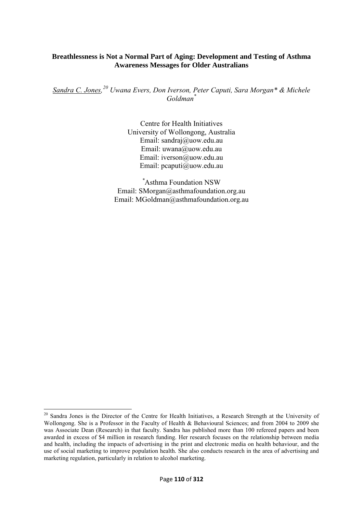## **Breathlessness is Not a Normal Part of Aging: Development and Testing of Asthma Awareness Messages for Older Australians**

*Sandra C. Jones,[20](#page-2-0) Uwana Evers, Don Iverson, Peter Caputi, Sara Morgan\* & Michele Goldman\** 

> Centre for Health Initiatives University of Wollongong, Australia Email: sandraj@uow.edu.au Email: uwana@uow.edu.au Email: iverson@uow.edu.au Email: pcaputi@uow.edu.au

*\** Asthma Foundation NSW Email: SMorgan@asthmafoundation.org.au Email: MGoldman@asthmafoundation.org.au

 $\overline{a}$ 

<span id="page-2-0"></span><sup>&</sup>lt;sup>20</sup> Sandra Jones is the Director of the Centre for Health Initiatives, a Research Strength at the University of Wollongong. She is a Professor in the Faculty of Health & Behavioural Sciences; and from 2004 to 2009 she was Associate Dean (Research) in that faculty. Sandra has published more than 100 refereed papers and been awarded in excess of \$4 million in research funding. Her research focuses on the relationship between media and health, including the impacts of advertising in the print and electronic media on health behaviour, and the use of social marketing to improve population health. She also conducts research in the area of advertising and marketing regulation, particularly in relation to alcohol marketing.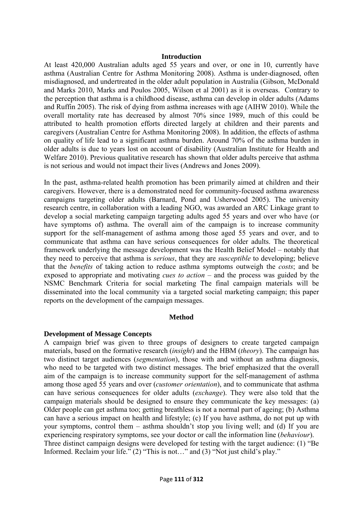#### **Introduction**

At least 420,000 Australian adults aged 55 years and over, or one in 10, currently have asthma (Australian Centre for Asthma Monitoring 2008). Asthma is under-diagnosed, often misdiagnosed, and undertreated in the older adult population in Australia (Gibson, McDonald and Marks 2010, Marks and Poulos 2005, Wilson et al 2001) as it is overseas. Contrary to the perception that asthma is a childhood disease, asthma can develop in older adults (Adams and Ruffin 2005). The risk of dying from asthma increases with age (AIHW 2010). While the overall mortality rate has decreased by almost 70% since 1989, much of this could be attributed to health promotion efforts directed largely at children and their parents and caregivers (Australian Centre for Asthma Monitoring 2008). In addition, the effects of asthma on quality of life lead to a significant asthma burden. Around 70% of the asthma burden in older adults is due to years lost on account of disability (Australian Institute for Health and Welfare 2010). Previous qualitative research has shown that older adults perceive that asthma is not serious and would not impact their lives (Andrews and Jones 2009).

In the past, asthma-related health promotion has been primarily aimed at children and their caregivers. However, there is a demonstrated need for community-focused asthma awareness campaigns targeting older adults (Barnard, Pond and Usherwood 2005). The university research centre, in collaboration with a leading NGO, was awarded an ARC Linkage grant to develop a social marketing campaign targeting adults aged 55 years and over who have (or have symptoms of) asthma. The overall aim of the campaign is to increase community support for the self-management of asthma among those aged 55 years and over, and to communicate that asthma can have serious consequences for older adults. The theoretical framework underlying the message development was the Health Belief Model – notably that they need to perceive that asthma is *serious*, that they are *susceptible* to developing; believe that the *benefits* of taking action to reduce asthma symptoms outweigh the *costs*; and be exposed to appropriate and motivating *cues to action* – and the process was guided by the NSMC Benchmark Criteria for social marketing The final campaign materials will be disseminated into the local community via a targeted social marketing campaign; this paper reports on the development of the campaign messages.

## **Method**

## **Development of Message Concepts**

A campaign brief was given to three groups of designers to create targeted campaign materials, based on the formative research (*insight*) and the HBM (*theory*). The campaign has two distinct target audiences (*segmentation*), those with and without an asthma diagnosis, who need to be targeted with two distinct messages. The brief emphasized that the overall aim of the campaign is to increase community support for the self-management of asthma among those aged 55 years and over (*customer orientation*), and to communicate that asthma can have serious consequences for older adults (*exchange*). They were also told that the campaign materials should be designed to ensure they communicate the key messages: (a) Older people can get asthma too; getting breathless is not a normal part of ageing; (b) Asthma can have a serious impact on health and lifestyle; (c) If you have asthma, do not put up with your symptoms, control them – asthma shouldn't stop you living well; and (d) If you are experiencing respiratory symptoms, see your doctor or call the information line (*behaviour*). Three distinct campaign designs were developed for testing with the target audience: (1) "Be Informed. Reclaim your life." (2) "This is not…" and (3) "Not just child's play."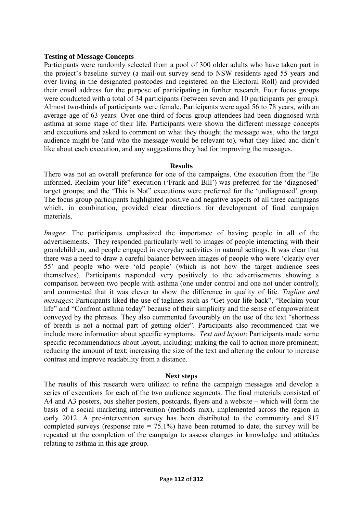## **Testing of Message Concepts**

Participants were randomly selected from a pool of 300 older adults who have taken part in the project's baseline survey (a mail-out survey send to NSW residents aged 55 years and over living in the designated postcodes and registered on the Electoral Roll) and provided their email address for the purpose of participating in further research. Four focus groups were conducted with a total of 34 participants (between seven and 10 participants per group). Almost two-thirds of participants were female. Participants were aged 56 to 78 years, with an average age of 63 years. Over one-third of focus group attendees had been diagnosed with asthma at some stage of their life. Participants were shown the different message concepts and executions and asked to comment on what they thought the message was, who the target audience might be (and who the message would be relevant to), what they liked and didn't like about each execution, and any suggestions they had for improving the messages.

## **Results**

There was not an overall preference for one of the campaigns. One execution from the "Be informed. Reclaim your life" execution ('Frank and Bill') was preferred for the 'diagnosed' target groups; and the 'This is Not" executions were preferred for the 'undiagnosed' group. The focus group participants highlighted positive and negative aspects of all three campaigns which, in combination, provided clear directions for development of final campaign materials.

*Images*: The participants emphasized the importance of having people in all of the advertisements. They responded particularly well to images of people interacting with their grandchildren, and people engaged in everyday activities in natural settings. It was clear that there was a need to draw a careful balance between images of people who were 'clearly over 55' and people who were 'old people' (which is not how the target audience sees themselves). Participants responded very positively to the advertisements showing a comparison between two people with asthma (one under control and one not under control); and commented that it was clever to show the difference in quality of life. *Tagline and messages*: Participants liked the use of taglines such as "Get your life back", "Reclaim your life" and "Confront asthma today" because of their simplicity and the sense of empowerment conveyed by the phrases. They also commented favourably on the use of the text "shortness of breath is not a normal part of getting older". Participants also recommended that we include more information about specific symptoms. *Text and layout*: Participants made some specific recommendations about layout, including: making the call to action more prominent; reducing the amount of text; increasing the size of the text and altering the colour to increase contrast and improve readability from a distance.

## **Next steps**

The results of this research were utilized to refine the campaign messages and develop a series of executions for each of the two audience segments. The final materials consisted of A4 and A3 posters, bus shelter posters, postcards, flyers and a website – which will form the basis of a social marketing intervention (methods mix), implemented across the region in early 2012. A pre-intervention survey has been distributed to the community and 817 completed surveys (response rate  $= 75.1\%$ ) have been returned to date; the survey will be repeated at the completion of the campaign to assess changes in knowledge and attitudes relating to asthma in this age group.